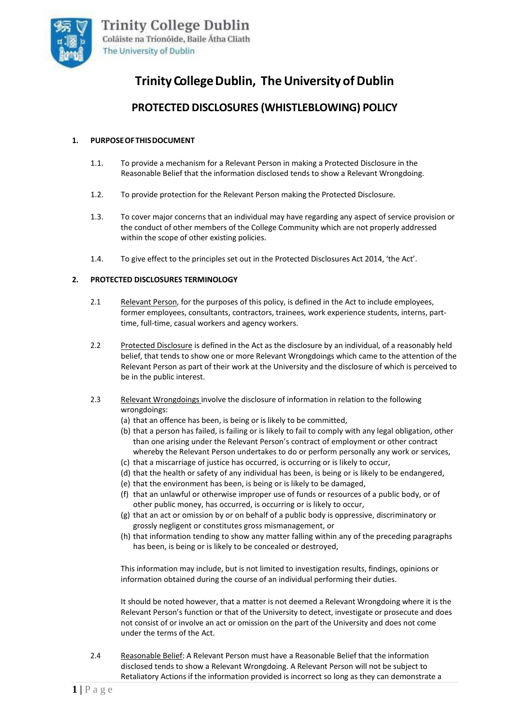

# **Trinity College Dublin, The University of Dublin**

## **PROTECTED DISCLOSURES (WHISTLEBLOWING) POLICY**

## **1. PURPOSEOFTHISDOCUMENT**

- 1.1. To provide a mechanism for a Relevant Person in making a Protected Disclosure in the Reasonable Belief that the information disclosed tends to show a Relevant Wrongdoing.
- 1.2. To provide protection for the Relevant Person making the Protected Disclosure.
- 1.3. To cover major concerns that an individual may have regarding any aspect of service provision or the conduct of other members of the College Community which are not properly addressed within the scope of other existing policies.
- 1.4. To give effect to the principles set out in the Protected Disclosures Act 2014, 'the Act'.

## **2. PROTECTED DISCLOSURES TERMINOLOGY**

- 2.1 Relevant Person, for the purposes of this policy, is defined in the Act to include employees, former employees, consultants, contractors, trainees, work experience students, interns, parttime, full-time, casual workers and agency workers.
- 2.2 Protected Disclosure is defined in the Act as the disclosure by an individual, of a reasonably held belief, that tends to show one or more Relevant Wrongdoings which came to the attention of the Relevant Person as part of their work at the University and the disclosure of which is perceived to be in the public interest.
- 2.3 Relevant Wrongdoings involve the disclosure of information in relation to the following wrongdoings:
	- (a) that an offence has been, is being or is likely to be committed,
	- (b) that a person has failed, is failing or is likely to fail to comply with any legal obligation, other than one arising under the Relevant Person's contract of employment or other contract whereby the Relevant Person undertakes to do or perform personally any work or services,
	- (c) that a miscarriage of justice has occurred, is occurring or is likely to occur,
	- (d) that the health or safety of any individual has been, is being or is likely to be endangered,
	- (e) that the environment has been, is being or is likely to be damaged,
	- (f) that an unlawful or otherwise improper use of funds or resources of a public body, or of other public money, has occurred, is occurring or is likely to occur,
	- (g) that an act or omission by or on behalf of a public body is oppressive, discriminatory or grossly negligent or constitutes gross mismanagement, or
	- (h) that information tending to show any matter falling within any of the preceding paragraphs has been, is being or is likely to be concealed or destroyed,

This information may include, but is not limited to investigation results, findings, opinions or information obtained during the course of an individual performing their duties.

It should be noted however, that a matter is not deemed a Relevant Wrongdoing where it is the Relevant Person's function or that of the University to detect, investigate or prosecute and does not consist of or involve an act or omission on the part of the University and does not come under the terms of the Act.

2.4 Reasonable Belief: A Relevant Person must have a Reasonable Belief that the information disclosed tends to show a Relevant Wrongdoing. A Relevant Person will not be subject to Retaliatory Actions if the information provided is incorrect so long as they can demonstrate a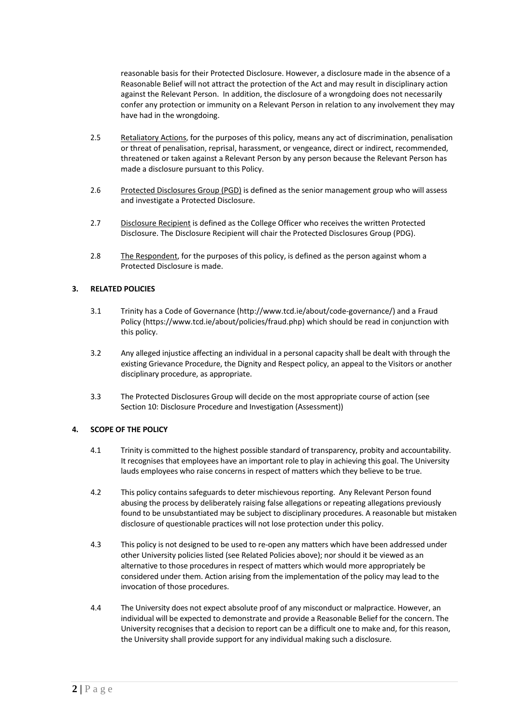reasonable basis for their Protected Disclosure. However, a disclosure made in the absence of a Reasonable Belief will not attract the protection of the Act and may result in disciplinary action against the Relevant Person. In addition, the disclosure of a wrongdoing does not necessarily confer any protection or immunity on a Relevant Person in relation to any involvement they may have had in the wrongdoing.

- 2.5 Retaliatory Actions, for the purposes of this policy, means any act of discrimination, penalisation or threat of penalisation, reprisal, harassment, or vengeance, direct or indirect, recommended, threatened or taken against a Relevant Person by any person because the Relevant Person has made a disclosure pursuant to this Policy.
- 2.6 Protected Disclosures Group (PGD) is defined as the senior management group who will assess and investigate a Protected Disclosure.
- 2.7 Disclosure Recipient is defined as the College Officer who receives the written Protected Disclosure. The Disclosure Recipient will chair the Protected Disclosures Group (PDG).
- 2.8 The Respondent, for the purposes of this policy, is defined as the person against whom a Protected Disclosure is made.

## **3. RELATED POLICIES**

- 3.1 Trinity has a Code of Governance [\(http://www.tcd.ie/about/code-governance/\)](http://www.tcd.ie/about/code-governance/) and a Fraud Policy [\(https://www.tcd.ie/about/policies/fraud.php\)](https://www.tcd.ie/about/policies/fraud.php) which should be read in conjunction with this policy.
- 3.2 Any alleged injustice affecting an individual in a personal capacity shall be dealt with through the existing Grievance Procedure, the Dignity and Respect policy, an appeal to the Visitors or another disciplinary procedure, as appropriate.
- 3.3 The Protected Disclosures Group will decide on the most appropriate course of action (see Section 10: Disclosure Procedure and Investigation (Assessment))

#### **4. SCOPE OF THE POLICY**

- 4.1 Trinity is committed to the highest possible standard of transparency, probity and accountability. It recognises that employees have an important role to play in achieving this goal. The University lauds employees who raise concerns in respect of matters which they believe to be true.
- 4.2 This policy contains safeguards to deter mischievous reporting. Any Relevant Person found abusing the process by deliberately raising false allegations or repeating allegations previously found to be unsubstantiated may be subject to disciplinary procedures. A reasonable but mistaken disclosure of questionable practices will not lose protection under this policy.
- 4.3 This policy is not designed to be used to re-open any matters which have been addressed under other University policies listed (see Related Policies above); nor should it be viewed as an alternative to those procedures in respect of matters which would more appropriately be considered under them. Action arising from the implementation of the policy may lead to the invocation of those procedures.
- 4.4 The University does not expect absolute proof of any misconduct or malpractice. However, an individual will be expected to demonstrate and provide a Reasonable Belief for the concern. The University recognises that a decision to report can be a difficult one to make and, for this reason, the University shall provide support for any individual making such a disclosure.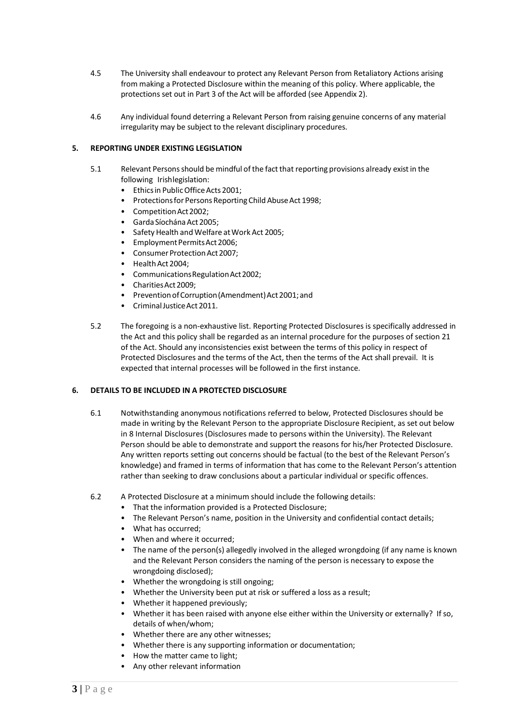- 4.5 The University shall endeavour to protect any Relevant Person from Retaliatory Actions arising from making a Protected Disclosure within the meaning of this policy. Where applicable, the protections set out in Part 3 of the Act will be afforded (see Appendix 2).
- 4.6 Any individual found deterring a Relevant Person from raising genuine concerns of any material irregularity may be subject to the relevant disciplinary procedures.

## **5. REPORTING UNDER EXISTING LEGISLATION**

- 5.1 Relevant Persons should be mindful of the fact that reporting provisions already exist in the following Irishlegislation:
	- Ethics in Public Office Acts 2001;
	- Protections for Persons Reporting Child Abuse Act 1998;
	- CompetitionAct2002;
	- Garda Síochána Act 2005;
	- Safety Health and Welfare at Work Act 2005;
	- Employment Permits Act 2006;
	- Consumer Protection Act 2007;
	- Health Act 2004;
	- CommunicationsRegulationAct2002;
	- Charities Act 2009:
	- Prevention of Corruption (Amendment) Act 2001; and
	- CriminalJusticeAct 2011.
- 5.2 The foregoing is a non-exhaustive list. Reporting Protected Disclosures is specifically addressed in the Act and this policy shall be regarded as an internal procedure for the purposes of section 21 of the Act. Should any inconsistencies exist between the terms of this policy in respect of Protected Disclosures and the terms of the Act, then the terms of the Act shall prevail. It is expected that internal processes will be followed in the first instance.

#### **6. DETAILS TO BE INCLUDED IN A PROTECTED DISCLOSURE**

- 6.1 Notwithstanding anonymous notifications referred to below, Protected Disclosures should be made in writing by the Relevant Person to the appropriate Disclosure Recipient, as set out below in 8 Internal Disclosures (Disclosures made to persons within the University). The Relevant Person should be able to demonstrate and support the reasons for his/her Protected Disclosure. Any written reports setting out concerns should be factual (to the best of the Relevant Person's knowledge) and framed in terms of information that has come to the Relevant Person's attention rather than seeking to draw conclusions about a particular individual or specific offences.
- 6.2 A Protected Disclosure at a minimum should include the following details:
	- That the information provided is a Protected Disclosure;
	- The Relevant Person's name, position in the University and confidential contact details;
	- What has occurred;
	- When and where it occurred;
	- The name of the person(s) allegedly involved in the alleged wrongdoing (if any name is known and the Relevant Person considers the naming of the person is necessary to expose the wrongdoing disclosed);
	- Whether the wrongdoing is still ongoing;
	- Whether the University been put at risk or suffered a loss as a result;
	- Whether it happened previously;
	- Whether it has been raised with anyone else either within the University or externally? If so, details of when/whom;
	- Whether there are any other witnesses;
	- Whether there is any supporting information or documentation;
	- How the matter came to light;
	- Any other relevant information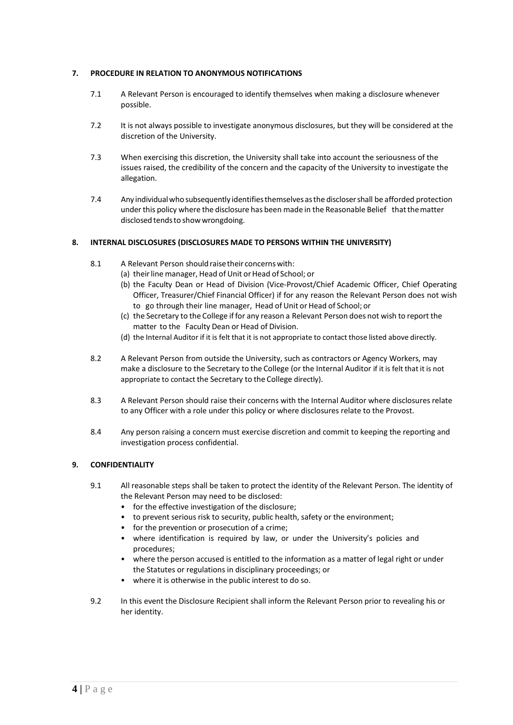## **7. PROCEDURE IN RELATION TO ANONYMOUS NOTIFICATIONS**

- 7.1 A Relevant Person is encouraged to identify themselves when making a disclosure whenever possible.
- 7.2 It is not always possible to investigate anonymous disclosures, but they will be considered at the discretion of the University.
- 7.3 When exercising this discretion, the University shall take into account the seriousness of the issues raised, the credibility of the concern and the capacity of the University to investigate the allegation.
- 7.4 Any individualwho subsequently identifiesthemselvesasthe disclosershall be afforded protection underthis policy where the disclosure has been made in the Reasonable Belief thatthematter disclosed tendsto showwrongdoing.

## **8. INTERNAL DISCLOSURES (DISCLOSURES MADE TO PERSONS WITHIN THE UNIVERSITY)**

- 8.1 A Relevant Person shouldraisetheir concernswith:
	- (a) their line manager, Head of Unit or Head of School; or
	- (b) the Faculty Dean or Head of Division (Vice-Provost/Chief Academic Officer, Chief Operating Officer, Treasurer/Chief Financial Officer) if for any reason the Relevant Person does not wish to go through their line manager, Head of Unit or Head of School; or
	- (c) the Secretary to the College if for any reason a Relevant Person does not wish to report the matter to the Faculty Dean or Head of Division.
	- (d) the Internal Auditor if it is felt that it is not appropriate to contact those listed above directly.
- 8.2 A Relevant Person from outside the University, such as contractors or Agency Workers, may make a disclosure to the Secretary to the College (or the Internal Auditor if it is felt that it is not appropriate to contact the Secretary to the College directly).
- 8.3 A Relevant Person should raise their concerns with the Internal Auditor where disclosures relate to any Officer with a role under this policy or where disclosures relate to the Provost.
- 8.4 Any person raising a concern must exercise discretion and commit to keeping the reporting and investigation process confidential.

#### **9. CONFIDENTIALITY**

- 9.1 All reasonable steps shall be taken to protect the identity of the Relevant Person. The identity of the Relevant Person may need to be disclosed:
	- for the effective investigation of the disclosure;
	- to prevent serious risk to security, public health, safety or the environment;
	- for the prevention or prosecution of a crime;
	- where identification is required by law, or under the University's policies and procedures;
	- where the person accused is entitled to the information as a matter of legal right or under the Statutes or regulations in disciplinary proceedings; or
	- where it is otherwise in the public interest to do so.
- 9.2 In this event the Disclosure Recipient shall inform the Relevant Person prior to revealing his or her identity.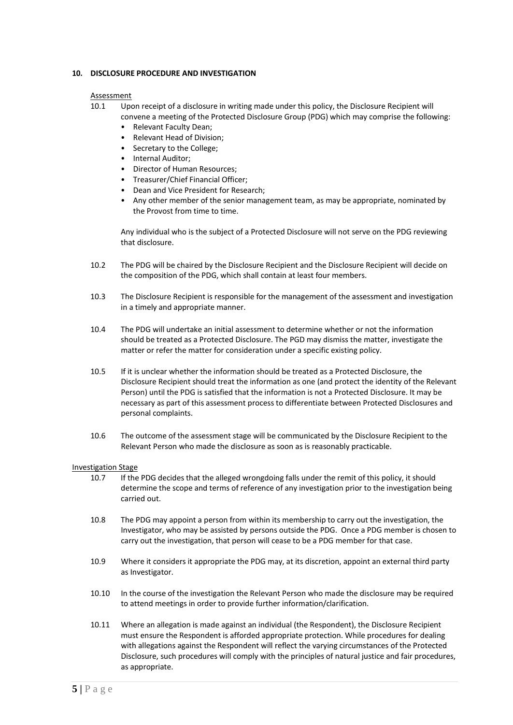## **10. DISCLOSURE PROCEDURE AND INVESTIGATION**

#### Assessment

- 10.1 Upon receipt of a disclosure in writing made under this policy, the Disclosure Recipient will convene a meeting of the Protected Disclosure Group (PDG) which may comprise the following:
	- Relevant Faculty Dean;
	- Relevant Head of Division;
	- Secretary to the College;
	- Internal Auditor;
	- Director of Human Resources;
	- Treasurer/Chief Financial Officer;
	- Dean and Vice President for Research;
	- Any other member of the senior management team, as may be appropriate, nominated by the Provost from time to time.

Any individual who is the subject of a Protected Disclosure will not serve on the PDG reviewing that disclosure.

- 10.2 The PDG will be chaired by the Disclosure Recipient and the Disclosure Recipient will decide on the composition of the PDG, which shall contain at least four members.
- 10.3 The Disclosure Recipient is responsible for the management of the assessment and investigation in a timely and appropriate manner.
- 10.4 The PDG will undertake an initial assessment to determine whether or not the information should be treated as a Protected Disclosure. The PGD may dismiss the matter, investigate the matter or refer the matter for consideration under a specific existing policy.
- 10.5 If it is unclear whether the information should be treated as a Protected Disclosure, the Disclosure Recipient should treat the information as one (and protect the identity of the Relevant Person) until the PDG is satisfied that the information is not a Protected Disclosure. It may be necessary as part of this assessment process to differentiate between Protected Disclosures and personal complaints.
- 10.6 The outcome of the assessment stage will be communicated by the Disclosure Recipient to the Relevant Person who made the disclosure as soon as is reasonably practicable.

#### Investigation Stage

- 10.7 If the PDG decides that the alleged wrongdoing falls under the remit of this policy, it should determine the scope and terms of reference of any investigation prior to the investigation being carried out.
- 10.8 The PDG may appoint a person from within its membership to carry out the investigation, the Investigator, who may be assisted by persons outside the PDG. Once a PDG member is chosen to carry out the investigation, that person will cease to be a PDG member for that case.
- 10.9 Where it considers it appropriate the PDG may, at its discretion, appoint an external third party as Investigator.
- 10.10 In the course of the investigation the Relevant Person who made the disclosure may be required to attend meetings in order to provide further information/clarification.
- 10.11 Where an allegation is made against an individual (the Respondent), the Disclosure Recipient must ensure the Respondent is afforded appropriate protection. While procedures for dealing with allegations against the Respondent will reflect the varying circumstances of the Protected Disclosure, such procedures will comply with the principles of natural justice and fair procedures, as appropriate.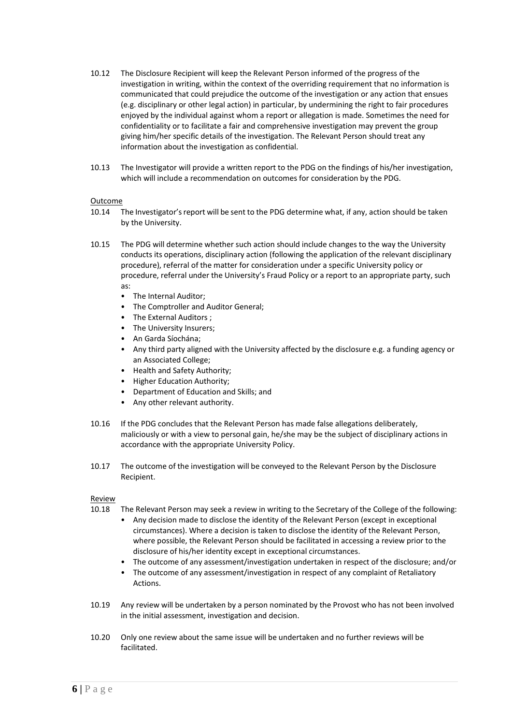- 10.12 The Disclosure Recipient will keep the Relevant Person informed of the progress of the investigation in writing, within the context of the overriding requirement that no information is communicated that could prejudice the outcome of the investigation or any action that ensues (e.g. disciplinary or other legal action) in particular, by undermining the right to fair procedures enjoyed by the individual against whom a report or allegation is made. Sometimes the need for confidentiality or to facilitate a fair and comprehensive investigation may prevent the group giving him/her specific details of the investigation. The Relevant Person should treat any information about the investigation as confidential.
- 10.13 The Investigator will provide a written report to the PDG on the findings of his/her investigation, which will include a recommendation on outcomes for consideration by the PDG.

#### Outcome

- 10.14 The Investigator's report will be sent to the PDG determine what, if any, action should be taken by the University.
- 10.15 The PDG will determine whether such action should include changes to the way the University conducts its operations, disciplinary action (following the application of the relevant disciplinary procedure), referral of the matter for consideration under a specific University policy or procedure, referral under the University's Fraud Policy or a report to an appropriate party, such as:
	- The Internal Auditor;
	- The Comptroller and Auditor General;
	- The External Auditors ;
	- The University Insurers;
	- An Garda Síochána;
	- Any third party aligned with the University affected by the disclosure e.g. a funding agency or an Associated College;
	- Health and Safety Authority;
	- Higher Education Authority;
	- Department of Education and Skills; and
	- Any other relevant authority.
- 10.16 If the PDG concludes that the Relevant Person has made false allegations deliberately, maliciously or with a view to personal gain, he/she may be the subject of disciplinary actions in accordance with the appropriate University Policy.
- 10.17 The outcome of the investigation will be conveyed to the Relevant Person by the Disclosure Recipient.

#### **Review**

- 10.18 The Relevant Person may seek a review in writing to the Secretary of the College of the following:
	- Any decision made to disclose the identity of the Relevant Person (except in exceptional circumstances). Where a decision is taken to disclose the identity of the Relevant Person, where possible, the Relevant Person should be facilitated in accessing a review prior to the disclosure of his/her identity except in exceptional circumstances.
	- The outcome of any assessment/investigation undertaken in respect of the disclosure; and/or
	- The outcome of any assessment/investigation in respect of any complaint of Retaliatory Actions.
- 10.19 Any review will be undertaken by a person nominated by the Provost who has not been involved in the initial assessment, investigation and decision.
- 10.20 Only one review about the same issue will be undertaken and no further reviews will be facilitated.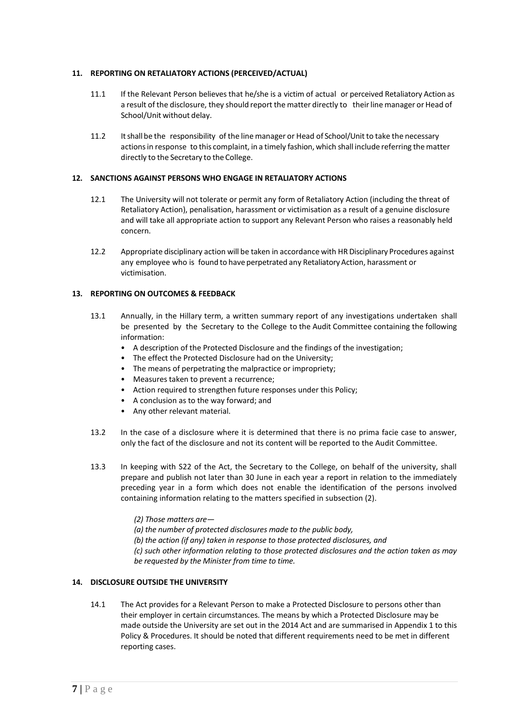## **11. REPORTING ON RETALIATORY ACTIONS (PERCEIVED/ACTUAL)**

- 11.1 If the Relevant Person believes that he/she is a victim of actual or perceived Retaliatory Action as a result of the disclosure, they should report the matter directly to their line manager or Head of School/Unit without delay.
- 11.2 It shall be the responsibility of the line manager or Head of School/Unit to take the necessary actions in response to this complaint, in a timely fashion, which shall include referring the matter directly to the Secretary to the College.

## **12. SANCTIONS AGAINST PERSONS WHO ENGAGE IN RETALIATORY ACTIONS**

- 12.1 The University will not tolerate or permit any form of Retaliatory Action (including the threat of Retaliatory Action), penalisation, harassment or victimisation as a result of a genuine disclosure and will take all appropriate action to support any Relevant Person who raises a reasonably held concern.
- 12.2 Appropriate disciplinary action will be taken in accordance with HR Disciplinary Procedures against any employee who is found to have perpetrated any Retaliatory Action, harassment or victimisation.

## **13. REPORTING ON OUTCOMES & FEEDBACK**

- 13.1 Annually, in the Hillary term, a written summary report of any investigations undertaken shall be presented by the Secretary to the College to the Audit Committee containing the following information:
	- A description of the Protected Disclosure and the findings of the investigation;
	- The effect the Protected Disclosure had on the University;
	- The means of perpetrating the malpractice or impropriety;
	- Measures taken to prevent a recurrence;
	- Action required to strengthen future responses under this Policy;
	- A conclusion as to the way forward; and
	- Any other relevant material.
- 13.2 In the case of a disclosure where it is determined that there is no prima facie case to answer, only the fact of the disclosure and not its content will be reported to the Audit Committee.
- 13.3 In keeping with S22 of the Act, the Secretary to the College, on behalf of the university, shall prepare and publish not later than 30 June in each year a report in relation to the immediately preceding year in a form which does not enable the identification of the persons involved containing information relating to the matters specified in subsection (2).
	- *(2) Those matters are—*
	- *(a) the number of protected disclosures made to the public body,*
	- *(b) the action (if any) taken in response to those protected disclosures, and*

*(c) such other information relating to those protected disclosures and the action taken as may be requested by the Minister from time to time.*

## **14. DISCLOSURE OUTSIDE THE UNIVERSITY**

14.1 The Act provides for a Relevant Person to make a Protected Disclosure to persons other than their employer in certain circumstances. The means by which a Protected Disclosure may be made outside the University are set out in the 2014 Act and are summarised in Appendix 1 to this Policy & Procedures. It should be noted that different requirements need to be met in different reporting cases.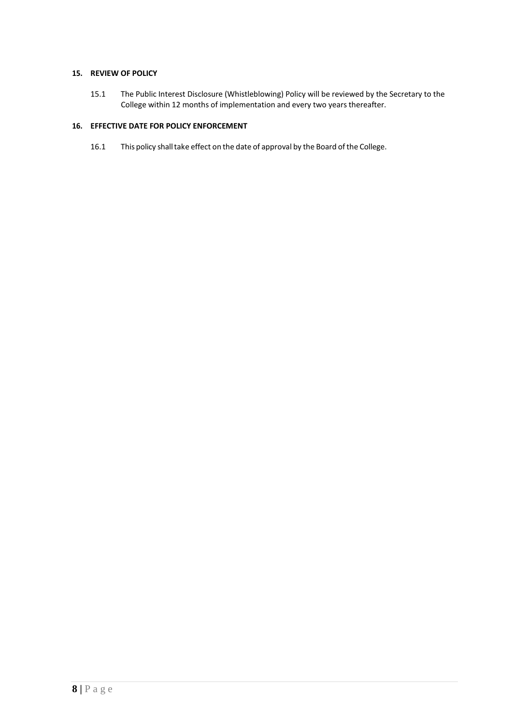## **15. REVIEW OF POLICY**

15.1 The Public Interest Disclosure (Whistleblowing) Policy will be reviewed by the Secretary to the College within 12 months of implementation and every two years thereafter.

## **16. EFFECTIVE DATE FOR POLICY ENFORCEMENT**

16.1 This policy shall take effect on the date of approval by the Board of the College.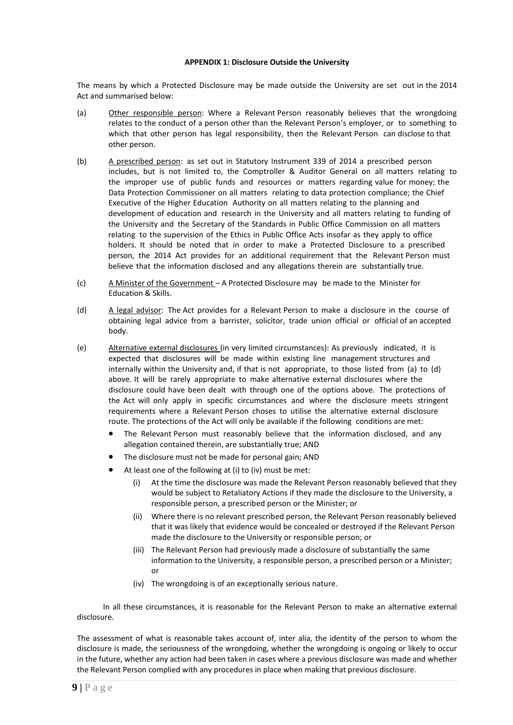#### **APPENDIX 1: Disclosure Outside the University**

The means by which a Protected Disclosure may be made outside the University are set out in the 2014 Act and summarised below:

- (a) Other responsible person: Where a Relevant Person reasonably believes that the wrongdoing relates to the conduct of a person other than the Relevant Person's employer, or to something to which that other person has legal responsibility, then the Relevant Person can disclose to that other person.
- (b) A prescribed person: as set out in Statutory Instrument 339 of 2014 a prescribed person includes, but is not limited to, the Comptroller & Auditor General on all matters relating to the improper use of public funds and resources or matters regarding value for money; the Data Protection Commissioner on all matters relating to data protection compliance; the Chief Executive of the Higher Education Authority on all matters relating to the planning and development of education and research in the University and all matters relating to funding of the University and the Secretary of the Standards in Public Office Commission on all matters relating to the supervision of the Ethics in Public Office Acts insofar as they apply to office holders. It should be noted that in order to make a Protected Disclosure to a prescribed person, the 2014 Act provides for an additional requirement that the Relevant Person must believe that the information disclosed and any allegations therein are substantially true.
- (c) A Minister of the Government A Protected Disclosure may be made to the Minister for Education & Skills.
- (d) A legal advisor: The Act provides for a Relevant Person to make a disclosure in the course of obtaining legal advice from a barrister, solicitor, trade union official or official of an accepted body.
- (e) Alternative external disclosures (in very limited circumstances): As previously indicated, it is expected that disclosures will be made within existing line management structures and internally within the University and, if that is not appropriate, to those listed from (a) to (d) above. It will be rarely appropriate to make alternative external disclosures where the disclosure could have been dealt with through one of the options above. The protections of the Act will only apply in specific circumstances and where the disclosure meets stringent requirements where a Relevant Person choses to utilise the alternative external disclosure route. The protections of the Act will only be available if the following conditions are met:
	- The Relevant Person must reasonably believe that the information disclosed, and any allegation contained therein, are substantially true; AND
	- The disclosure must not be made for personal gain; AND
	- At least one of the following at (i) to (iv) must be met:
		- (i) At the time the disclosure was made the Relevant Person reasonably believed that they would be subject to Retaliatory Actions if they made the disclosure to the University, a responsible person, a prescribed person or the Minister; or
		- (ii) Where there is no relevant prescribed person, the Relevant Person reasonably believed that it was likely that evidence would be concealed or destroyed if the Relevant Person made the disclosure to the University or responsible person; or
		- (iii) The Relevant Person had previously made a disclosure of substantially the same information to the University, a responsible person, a prescribed person or a Minister; or
		- (iv) The wrongdoing is of an exceptionally serious nature.

In all these circumstances, it is reasonable for the Relevant Person to make an alternative external disclosure.

The assessment of what is reasonable takes account of, inter alia, the identity of the person to whom the disclosure is made, the seriousness of the wrongdoing, whether the wrongdoing is ongoing or likely to occur in the future, whether any action had been taken in cases where a previous disclosure was made and whether the Relevant Person complied with any procedures in place when making that previous disclosure.